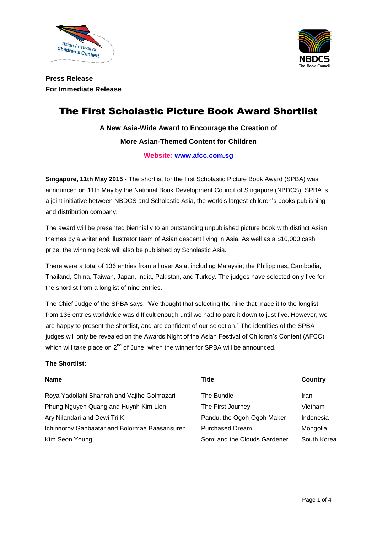



**Press Release For Immediate Release**

# The First Scholastic Picture Book Award Shortlist

**A New Asia-Wide Award to Encourage the Creation of More Asian-Themed Content for Children**

**Website: [www.afcc.com.sg](http://www.afcc.com.sg/)**

**Singapore, 11th May 2015** - The shortlist for the first Scholastic Picture Book Award (SPBA) was announced on 11th May by the National Book Development Council of Singapore (NBDCS). SPBA is a joint initiative between NBDCS and Scholastic Asia, the world's largest children's books publishing and distribution company.

The award will be presented biennially to an outstanding unpublished picture book with distinct Asian themes by a writer and illustrator team of Asian descent living in Asia. As well as a \$10,000 cash prize, the winning book will also be published by Scholastic Asia.

There were a total of 136 entries from all over Asia, including Malaysia, the Philippines, Cambodia, Thailand, China, Taiwan, Japan, India, Pakistan, and Turkey. The judges have selected only five for the shortlist from a longlist of nine entries.

The Chief Judge of the SPBA says, "We thought that selecting the nine that made it to the longlist from 136 entries worldwide was difficult enough until we had to pare it down to just five. However, we are happy to present the shortlist, and are confident of our selection." The identities of the SPBA judges will only be revealed on the Awards Night of the Asian Festival of Children's Content (AFCC) which will take place on  $2<sup>nd</sup>$  of June, when the winner for SPBA will be announced.

## **The Shortlist:**

| <b>Name</b>                                          | Title                        | Country     |
|------------------------------------------------------|------------------------------|-------------|
| Roya Yadollahi Shahrah and Vajihe Golmazari          | The Bundle                   | Iran        |
| Phung Nguyen Quang and Huynh Kim Lien                | The First Journey            | Vietnam     |
| Ary Nilandari and Dewi Tri K.                        | Pandu, the Ogoh-Ogoh Maker   | Indonesia   |
| <b>Ichinnorov Ganbaatar and Bolormaa Baasansuren</b> | <b>Purchased Dream</b>       | Mongolia    |
| Kim Seon Young                                       | Somi and the Clouds Gardener | South Korea |
|                                                      |                              |             |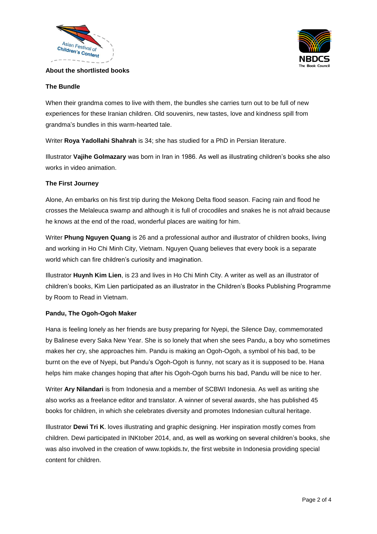



## **About the shortlisted books**

# **The Bundle**

When their grandma comes to live with them, the bundles she carries turn out to be full of new experiences for these Iranian children. Old souvenirs, new tastes, love and kindness spill from grandma's bundles in this warm-hearted tale.

Writer **Roya Yadollahi Shahrah** is 34; she has studied for a PhD in Persian literature.

Illustrator **Vajihe Golmazary** was born in Iran in 1986. As well as illustrating children's books she also works in video animation.

## **The First Journey**

Alone, An embarks on his first trip during the Mekong Delta flood season. Facing rain and flood he crosses the Melaleuca swamp and although it is full of crocodiles and snakes he is not afraid because he knows at the end of the road, wonderful places are waiting for him.

Writer **Phung Nguyen Quang** is 26 and a professional author and illustrator of children books, living and working in Ho Chi Minh City, Vietnam. Nguyen Quang believes that every book is a separate world which can fire children's curiosity and imagination.

Illustrator **Huynh Kim Lien**, is 23 and lives in Ho Chi Minh City. A writer as well as an illustrator of children's books, Kim Lien participated as an illustrator in the Children's Books Publishing Programme by Room to Read in Vietnam.

## **Pandu, The Ogoh-Ogoh Maker**

Hana is feeling lonely as her friends are busy preparing for Nyepi, the Silence Day, commemorated by Balinese every Saka New Year. She is so lonely that when she sees Pandu, a boy who sometimes makes her cry, she approaches him. Pandu is making an Ogoh-Ogoh, a symbol of his bad, to be burnt on the eve of Nyepi, but Pandu's Ogoh-Ogoh is funny, not scary as it is supposed to be. Hana helps him make changes hoping that after his Ogoh-Ogoh burns his bad, Pandu will be nice to her.

Writer **Ary Nilandari** is from Indonesia and a member of SCBWI Indonesia. As well as writing she also works as a freelance editor and translator. A winner of several awards, she has published 45 books for children, in which she celebrates diversity and promotes Indonesian cultural heritage.

Illustrator **Dewi Tri K**. loves illustrating and graphic designing. Her inspiration mostly comes from children. Dewi participated in INKtober 2014, and, as well as working on several children's books, she was also involved in the creation of www.topkids.tv, the first website in Indonesia providing special content for children.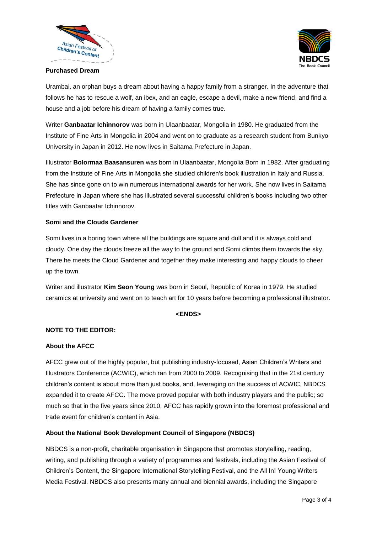



#### **Purchased Dream**

Urambai, an orphan buys a dream about having a happy family from a stranger. In the adventure that follows he has to rescue a wolf, an ibex, and an eagle, escape a devil, make a new friend, and find a house and a job before his dream of having a family comes true.

Writer **Ganbaatar Ichinnorov** was born in Ulaanbaatar, Mongolia in 1980. He graduated from the Institute of Fine Arts in Mongolia in 2004 and went on to graduate as a research student from Bunkyo University in Japan in 2012. He now lives in Saitama Prefecture in Japan.

Illustrator **Bolormaa Baasansuren** was born in Ulaanbaatar, Mongolia Born in 1982. After graduating from the Institute of Fine Arts in Mongolia she studied children's book illustration in Italy and Russia. She has since gone on to win numerous international awards for her work. She now lives in Saitama Prefecture in Japan where she has illustrated several successful children's books including two other titles with Ganbaatar Ichinnorov.

## **Somi and the Clouds Gardener**

Somi lives in a boring town where all the buildings are square and dull and it is always cold and cloudy. One day the clouds freeze all the way to the ground and Somi climbs them towards the sky. There he meets the Cloud Gardener and together they make interesting and happy clouds to cheer up the town.

Writer and illustrator **Kim Seon Young** was born in Seoul, Republic of Korea in 1979. He studied ceramics at university and went on to teach art for 10 years before becoming a professional illustrator.

#### **<ENDS>**

# **NOTE TO THE EDITOR:**

#### **About the AFCC**

AFCC grew out of the highly popular, but publishing industry-focused, Asian Children's Writers and Illustrators Conference (ACWIC), which ran from 2000 to 2009. Recognising that in the 21st century children's content is about more than just books, and, leveraging on the success of ACWIC, NBDCS expanded it to create AFCC. The move proved popular with both industry players and the public; so much so that in the five years since 2010, AFCC has rapidly grown into the foremost professional and trade event for children's content in Asia.

## **About the National Book Development Council of Singapore (NBDCS)**

NBDCS is a non-profit, charitable organisation in Singapore that promotes storytelling, reading, writing, and publishing through a variety of programmes and festivals, including the Asian Festival of Children's Content, the Singapore International Storytelling Festival, and the All In! Young Writers Media Festival. NBDCS also presents many annual and biennial awards, including the Singapore